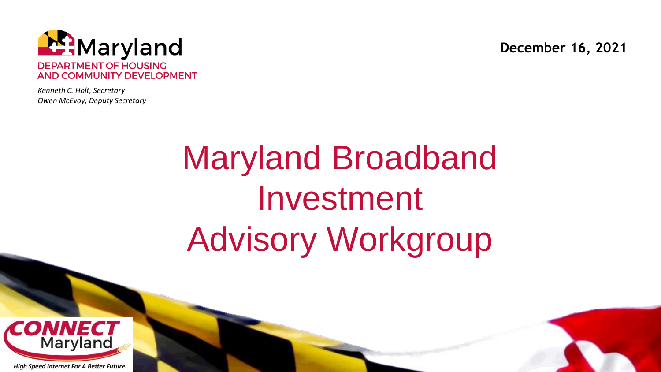

*Kenneth C. Holt, Secretary Owen McEvoy, Deputy Secretary* **December 16, 2021**

# Maryland Broadband Investment Advisory Workgroup

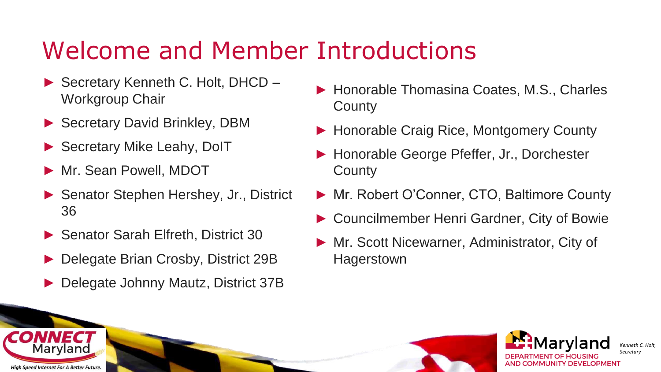### Welcome and Member Introductions

- ► Secretary Kenneth C. Holt, DHCD Workgroup Chair
- ► Secretary David Brinkley, DBM
- ► Secretary Mike Leahy, DoIT
- ► Mr. Sean Powell, MDOT
- ► Senator Stephen Hershey, Jr., District 36
- ► Senator Sarah Elfreth, District 30
- ► Delegate Brian Crosby, District 29B
- ► Delegate Johnny Mautz, District 37B
- ► Honorable Thomasina Coates, M.S., Charles **County**
- ► Honorable Craig Rice, Montgomery County
- ► Honorable George Pfeffer, Jr., Dorchester **County**
- ► Mr. Robert O'Conner, CTO, Baltimore County
- ► Councilmember Henri Gardner, City of Bowie
- ► Mr. Scott Nicewarner, Administrator, City of **Hagerstown**



*Kenneth C. Holt, Secretary*

**High Speed Internet For A Better Future** 

Marvland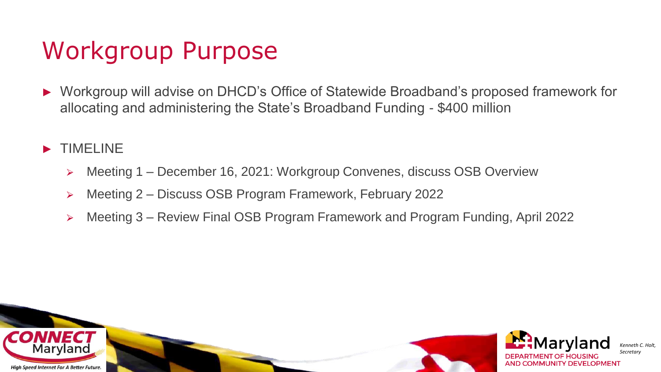### Workgroup Purpose

- ► Workgroup will advise on DHCD's Office of Statewide Broadband's proposed framework for allocating and administering the State's Broadband Funding - \$400 million
- ► TIMELINE
	- ⮚ Meeting 1 December 16, 2021: Workgroup Convenes, discuss OSB Overview
	- ⮚ Meeting 2 Discuss OSB Program Framework, February 2022
	- ⮚ Meeting 3 Review Final OSB Program Framework and Program Funding, April 2022

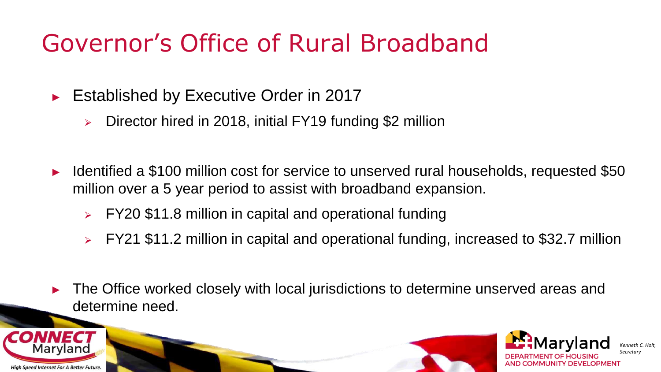### Governor's Office of Rural Broadband

- ► Established by Executive Order in 2017
	- $\geq$  Director hired in 2018, initial FY19 funding \$2 million
- Identified a \$100 million cost for service to unserved rural households, requested \$50 million over a 5 year period to assist with broadband expansion.
	- ⮚ FY20 \$11.8 million in capital and operational funding
	- ⮚ FY21 \$11.2 million in capital and operational funding, increased to \$32.7 million
- The Office worked closely with local jurisdictions to determine unserved areas and determine need.



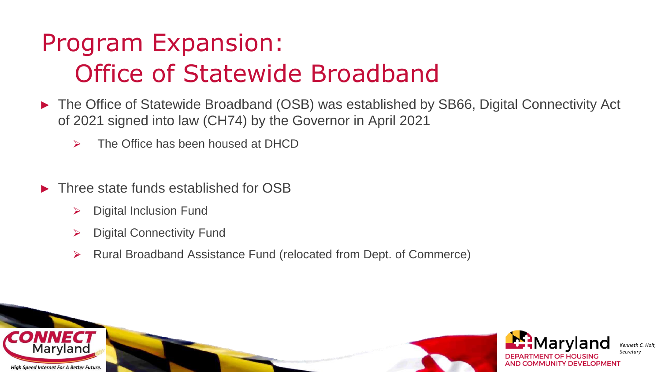## Program Expansion: Office of Statewide Broadband

- ► The Office of Statewide Broadband (OSB) was established by SB66, Digital Connectivity Act of 2021 signed into law (CH74) by the Governor in April 2021
	- $\triangleright$  The Office has been housed at DHCD
- Three state funds established for OSB
	- $\triangleright$  Digital Inclusion Fund
	- $\triangleright$  Digital Connectivity Fund
	- ⮚ Rural Broadband Assistance Fund (relocated from Dept. of Commerce)

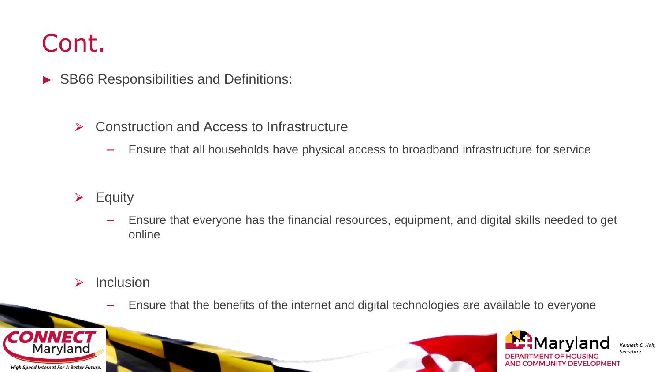#### Cont.

- ► SB66 Responsibilities and Definitions:
	- **► Construction and Access to Infrastructure** 
		- Ensure that all households have physical access to broadband infrastructure for service
	- $\triangleright$  Equity
		- Ensure that everyone has the financial resources, equipment, and digital skills needed to get online
	- $\triangleright$  Inclusion
		- Ensure that the benefits of the internet and digital technologies are available to everyone





*Kenneth C. Holt, Secretary*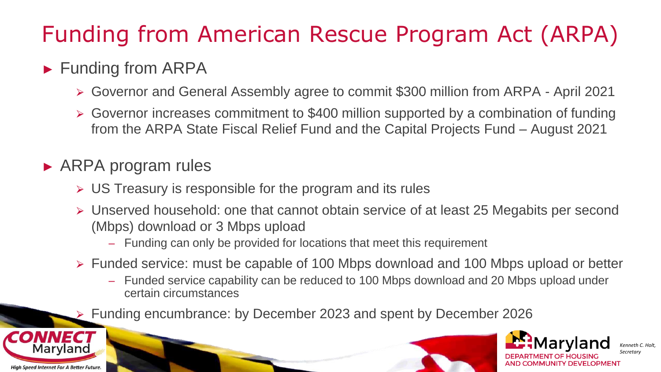### Funding from American Rescue Program Act (ARPA)

#### ► Funding from ARPA

- ⮚ Governor and General Assembly agree to commit \$300 million from ARPA April 2021
- ⮚ Governor increases commitment to \$400 million supported by a combination of funding from the ARPA State Fiscal Relief Fund and the Capital Projects Fund – August 2021

#### ► ARPA program rules

- $\triangleright$  US Treasury is responsible for the program and its rules
- ⮚ Unserved household: one that cannot obtain service of at least 25 Megabits per second (Mbps) download or 3 Mbps upload
	- Funding can only be provided for locations that meet this requirement
- ⮚ Funded service: must be capable of 100 Mbps download and 100 Mbps upload or better
	- Funded service capability can be reduced to 100 Mbps download and 20 Mbps upload under certain circumstances
- ⮚ Funding encumbrance: by December 2023 and spent by December 2026



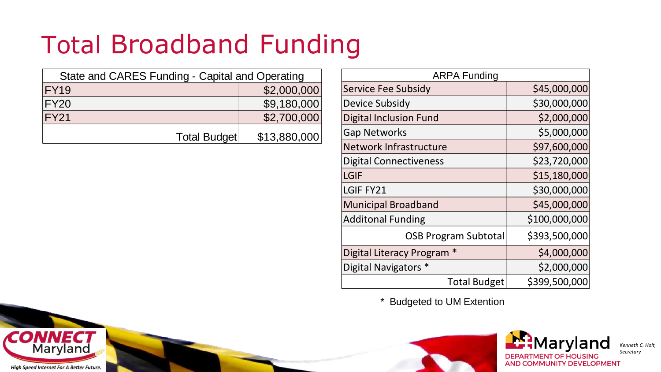## Total Broadband Funding

| State and CARES Funding - Capital and Operating |              |  |
|-------------------------------------------------|--------------|--|
| <b>FY19</b>                                     | \$2,000,000  |  |
| <b>FY20</b>                                     | \$9,180,000  |  |
| <b>FY21</b>                                     | \$2,700,000  |  |
| Total Budget                                    | \$13,880,000 |  |

| <b>ARPA Funding</b>           |               |  |
|-------------------------------|---------------|--|
| Service Fee Subsidy           | \$45,000,000  |  |
| Device Subsidy                | \$30,000,000  |  |
| <b>Digital Inclusion Fund</b> | \$2,000,000   |  |
| <b>Gap Networks</b>           | \$5,000,000   |  |
| <b>Network Infrastructure</b> | \$97,600,000  |  |
| <b>Digital Connectiveness</b> | \$23,720,000  |  |
| LGIF                          | \$15,180,000  |  |
| LGIF FY21                     | \$30,000,000  |  |
| <b>Municipal Broadband</b>    | \$45,000,000  |  |
| <b>Additonal Funding</b>      | \$100,000,000 |  |
| <b>OSB Program Subtotal</b>   | \$393,500,000 |  |
| Digital Literacy Program      | \$4,000,000   |  |
| Digital Navigators *          | \$2,000,000   |  |
| <b>Total Budget</b>           | \$399,500,000 |  |

\* Budgeted to UM Extention





*Kenneth C. Holt, Secretary*

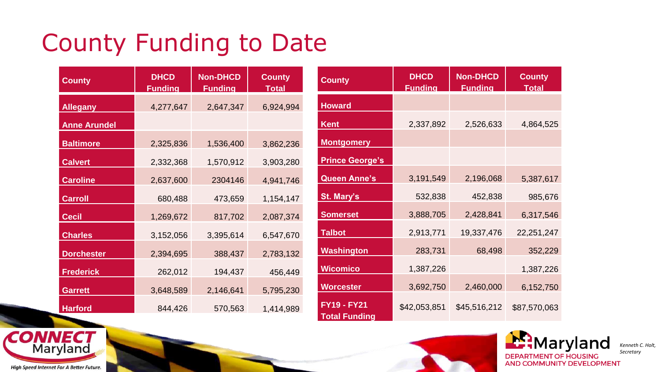## County Funding to Date

| <b>County</b>       | <b>DHCD</b><br><b>Funding</b> | <b>Non-DHCD</b><br><b>Funding</b> | <b>County</b><br><b>Total</b> |
|---------------------|-------------------------------|-----------------------------------|-------------------------------|
| <b>Allegany</b>     | 4,277,647                     | 2,647,347                         | 6,924,994                     |
| <b>Anne Arundel</b> |                               |                                   |                               |
| <b>Baltimore</b>    | 2,325,836                     | 1,536,400                         | 3,862,236                     |
| <b>Calvert</b>      | 2,332,368                     | 1,570,912                         | 3,903,280                     |
| <b>Caroline</b>     | 2,637,600                     | 2304146                           | 4,941,746                     |
| <b>Carroll</b>      | 680,488                       | 473,659                           | 1,154,147                     |
| <b>Cecil</b>        | 1,269,672                     | 817,702                           | 2,087,374                     |
| <b>Charles</b>      | 3,152,056                     | 3,395,614                         | 6,547,670                     |
| <b>Dorchester</b>   | 2,394,695                     | 388,437                           | 2,783,132                     |
| <b>Frederick</b>    | 262,012                       | 194,437                           | 456,449                       |
| <b>Garrett</b>      | 3,648,589                     | 2,146,641                         | 5,795,230                     |
| <b>Harford</b>      | 844,426                       | 570,563                           | 1,414,989                     |

| <b>County</b>                              | <b>DHCD</b><br><b>Funding</b> | <b>Non-DHCD</b><br><b>Fundina</b> | <b>County</b><br><b>Total</b> |
|--------------------------------------------|-------------------------------|-----------------------------------|-------------------------------|
| <b>Howard</b>                              |                               |                                   |                               |
| Kent                                       | 2,337,892                     | 2,526,633                         | 4,864,525                     |
| <b>Montgomery</b>                          |                               |                                   |                               |
| <b>Prince George's</b>                     |                               |                                   |                               |
| <b>Queen Anne's</b>                        | 3,191,549                     | 2,196,068                         | 5,387,617                     |
| St. Mary's                                 | 532,838                       | 452,838                           | 985,676                       |
| <b>Somerset</b>                            | 3,888,705                     | 2,428,841                         | 6,317,546                     |
| <b>Talbot</b>                              | 2,913,771                     | 19,337,476                        | 22,251,247                    |
| Washington                                 | 283,731                       | 68,498                            | 352,229                       |
| <b>Wicomico</b>                            | 1,387,226                     |                                   | 1,387,226                     |
| <b>Worcester</b>                           | 3,692,750                     | 2,460,000                         | 6,152,750                     |
| <b>FY19 - FY21</b><br><b>Total Funding</b> | \$42,053,851                  | \$45,516,212                      | \$87,570,063                  |





*Kenneth C. Holt, Secretary*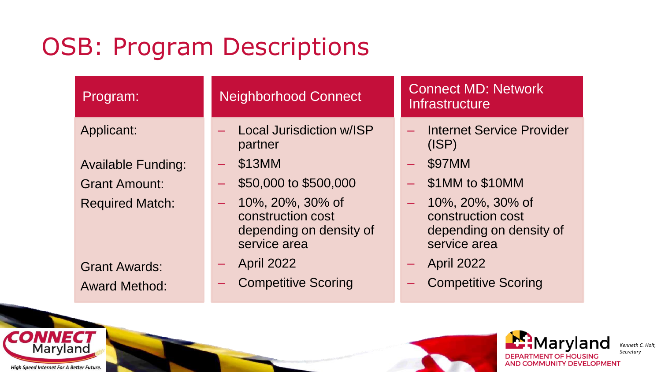### OSB: Program Descriptions

| Program:                  | <b>Neighborhood Connect</b>                                                           | <b>Connect MD: Network</b><br>Infrastructure                                          |
|---------------------------|---------------------------------------------------------------------------------------|---------------------------------------------------------------------------------------|
| Applicant:                | Local Jurisdiction w/ISP<br>partner                                                   | Internet Service Provider<br>Щ.<br>(ISP)                                              |
| <b>Available Funding:</b> | \$13MM                                                                                | \$97MM                                                                                |
| <b>Grant Amount:</b>      | \$50,000 to \$500,000                                                                 | \$1MM to \$10MM                                                                       |
| <b>Required Match:</b>    | 10%, 20%, 30% of<br>-<br>construction cost<br>depending on density of<br>service area | 10%, 20%, 30% of<br>-<br>construction cost<br>depending on density of<br>service area |
| <b>Grant Awards:</b>      | <b>April 2022</b>                                                                     | <b>April 2022</b><br>$\overline{\phantom{0}}$                                         |
| <b>Award Method:</b>      | <b>Competitive Scoring</b>                                                            | <b>Competitive Scoring</b>                                                            |



*Kenneth C. Holt, Secretary*

**High Speed Internet For A Better Future.** 

**CONNECT**<br>Maryland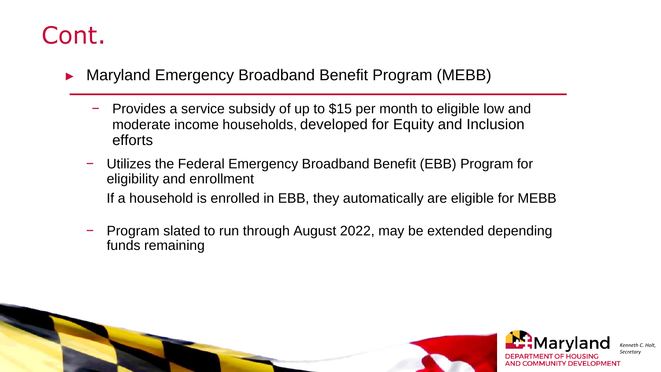#### Cont.

- ► Maryland Emergency Broadband Benefit Program (MEBB)
	- − Provides a service subsidy of up to \$15 per month to eligible low and moderate income households, developed for Equity and Inclusion efforts
	- − Utilizes the Federal Emergency Broadband Benefit (EBB) Program for eligibility and enrollment If a household is enrolled in EBB, they automatically are eligible for MEBB
	- − Program slated to run through August 2022, may be extended depending funds remaining

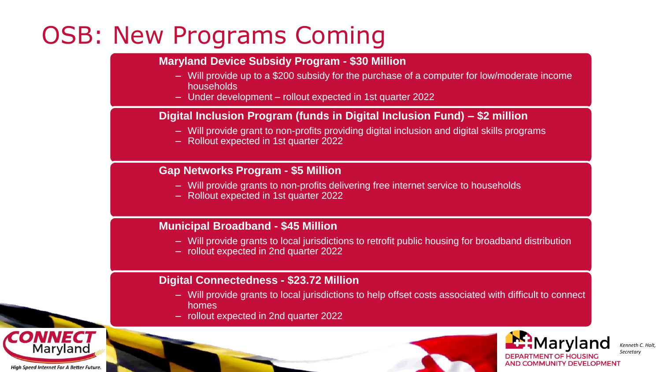### OSB: New Programs Coming

#### **Maryland Device Subsidy Program - \$30 Million**

- Will provide up to a \$200 subsidy for the purchase of a computer for low/moderate income households
- $-$  Under development rollout expected in 1st quarter 2022

#### **Digital Inclusion Program (funds in Digital Inclusion Fund) – \$2 million**

- Will provide grant to non-profits providing digital inclusion and digital skills programs
- Rollout expected in 1st quarter 2022

#### **Gap Networks Program - \$5 Million**

- Will provide grants to non-profits delivering free internet service to households
- Rollout expected in 1st quarter 2022

#### **Municipal Broadband - \$45 Million**

- Will provide grants to local jurisdictions to retrofit public housing for broadband distribution
- rollout expected in 2nd quarter 2022

#### **Digital Connectedness - \$23.72 Million**

- Will provide grants to local jurisdictions to help offset costs associated with difficult to connect homes
- rollout expected in 2nd quarter 2022





*Kenneth C. Hol Secretary*